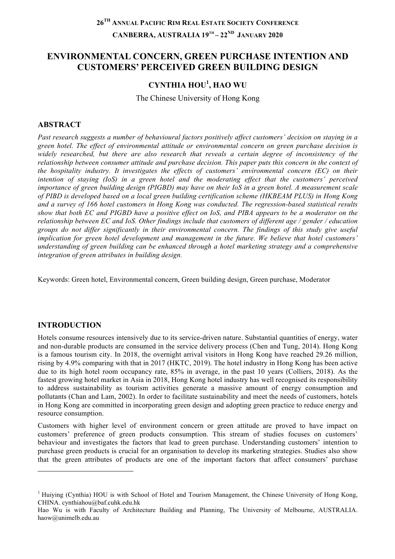# **26TH ANNUAL PACIFIC RIM REAL ESTATE SOCIETY CONFERENCE CANBERRA, AUSTRALIA 19TH – 22ND JANUARY 2020**

# **ENVIRONMENTAL CONCERN, GREEN PURCHASE INTENTION AND CUSTOMERS' PERCEIVED GREEN BUILDING DESIGN**

## **CYNTHIA HOU<sup>1</sup> , HAO WU**

The Chinese University of Hong Kong

### **ABSTRACT**

*Past research suggests a number of behavioural factors positively affect customers' decision on staying in a green hotel. The effect of environmental attitude or environmental concern on green purchase decision is widely researched, but there are also research that reveals a certain degree of inconsistency of the relationship between consumer attitude and purchase decision. This paper puts this concern in the context of the hospitality industry. It investigates the effects of customers' environmental concern (EC) on their intention of staying (IoS) in a green hotel and the moderating effect that the customers' perceived importance of green building design (PIGBD) may have on their IoS in a green hotel. A measurement scale of PIBD is developed based on a local green building certification scheme (HKBEAM PLUS) in Hong Kong and a survey of 166 hotel customers in Hong Kong was conducted. The regression-based statistical results show that both EC and PIGBD have a positive effect on IoS, and PIBA appears to be a moderator on the relationship between EC and IoS. Other findings include that customers of different age / gender / education groups do not differ significantly in their environmental concern. The findings of this study give useful implication for green hotel development and management in the future. We believe that hotel customers' understanding of green building can be enhanced through a hotel marketing strategy and a comprehensive integration of green attributes in building design.*

Keywords: Green hotel, Environmental concern, Green building design, Green purchase, Moderator

#### **INTRODUCTION**

l

Hotels consume resources intensively due to its service-driven nature. Substantial quantities of energy, water and non-durable products are consumed in the service delivery process (Chen and Tung, 2014). Hong Kong is a famous tourism city. In 2018, the overnight arrival visitors in Hong Kong have reached 29.26 million, rising by 4.9% comparing with that in 2017 (HKTC, 2019). The hotel industry in Hong Kong has been active due to its high hotel room occupancy rate, 85% in average, in the past 10 years (Colliers, 2018). As the fastest growing hotel market in Asia in 2018, Hong Kong hotel industry has well recognised its responsibility to address sustainability as tourism activities generate a massive amount of energy consumption and pollutants (Chan and Lam, 2002). In order to facilitate sustainability and meet the needs of customers, hotels in Hong Kong are committed in incorporating green design and adopting green practice to reduce energy and resource consumption.

Customers with higher level of environment concern or green attitude are proved to have impact on customers' preference of green products consumption. This stream of studies focuses on customers' behaviour and investigates the factors that lead to green purchase. Understanding customers' intention to purchase green products is crucial for an organisation to develop its marketing strategies. Studies also show that the green attributes of products are one of the important factors that affect consumers' purchase

<sup>&</sup>lt;sup>1</sup> Huiying (Cynthia) HOU is with School of Hotel and Tourism Management, the Chinese University of Hong Kong, CHINA. cynthiahou@baf.cuhk.edu.hk

Hao Wu is with Faculty of Architecture Building and Planning, The University of Melbourne, AUSTRALIA. haow@unimelb.edu.au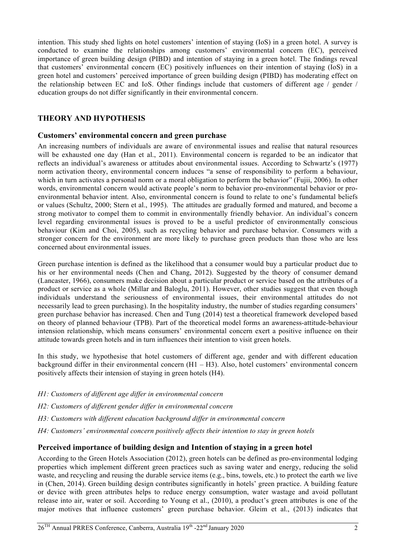intention. This study shed lights on hotel customers' intention of staying (IoS) in a green hotel. A survey is conducted to examine the relationships among customers' environmental concern (EC), perceived importance of green building design (PIBD) and intention of staying in a green hotel. The findings reveal that customers' environmental concern (EC) positively influences on their intention of staying (IoS) in a green hotel and customers' perceived importance of green building design (PIBD) has moderating effect on the relationship between EC and IoS. Other findings include that customers of different age / gender / education groups do not differ significantly in their environmental concern.

### **THEORY AND HYPOTHESIS**

### **Customers' environmental concern and green purchase**

An increasing numbers of individuals are aware of environmental issues and realise that natural resources will be exhausted one day (Han et al., 2011). Environmental concern is regarded to be an indicator that reflects an individual's awareness or attitudes about environmental issues. According to Schwartz's (1977) norm activation theory, environmental concern induces "a sense of responsibility to perform a behaviour, which in turn activates a personal norm or a moral obligation to perform the behavior" (Fujii, 2006). In other words, environmental concern would activate people's norm to behavior pro-environmental behavior or proenvironmental behavior intent. Also, environmental concern is found to relate to one's fundamental beliefs or values (Schultz, 2000; Stern et al., 1995). The attitudes are gradually formed and matured, and become a strong motivator to compel them to commit in environmentally friendly behavior. An individual's concern level regarding environmental issues is proved to be a useful predictor of environmentally conscious behaviour (Kim and Choi, 2005), such as recycling behavior and purchase behavior. Consumers with a stronger concern for the environment are more likely to purchase green products than those who are less concerned about environmental issues.

Green purchase intention is defined as the likelihood that a consumer would buy a particular product due to his or her environmental needs (Chen and Chang, 2012). Suggested by the theory of consumer demand (Lancaster, 1966), consumers make decision about a particular product or service based on the attributes of a product or service as a whole (Millar and Baloglu, 2011). However, other studies suggest that even though individuals understand the seriousness of environmental issues, their environmental attitudes do not necessarily lead to green purchasing). In the hospitality industry, the number of studies regarding consumers' green purchase behavior has increased. Chen and Tung (2014) test a theoretical framework developed based on theory of planned behaviour (TPB). Part of the theoretical model forms an awareness-attitude-behaviour intension relationship, which means consumers' environmental concern exert a positive influence on their attitude towards green hotels and in turn influences their intention to visit green hotels.

In this study, we hypothesise that hotel customers of different age, gender and with different education background differ in their environmental concern (H1 – H3). Also, hotel customers' environmental concern positively affects their intension of staying in green hotels (H4).

- *H1: Customers of different age differ in environmental concern*
- *H2: Customers of different gender differ in environmental concern*
- *H3: Customers with different education background differ in environmental concern*
- *H4: Customers' environmental concern positively affects their intention to stay in green hotels*

### **Perceived importance of building design and Intention of staying in a green hotel**

According to the Green Hotels Association (2012), green hotels can be defined as pro-environmental lodging properties which implement different green practices such as saving water and energy, reducing the solid waste, and recycling and reusing the durable service items (e.g., bins, towels, etc.) to protect the earth we live in (Chen, 2014). Green building design contributes significantly in hotels' green practice. A building feature or device with green attributes helps to reduce energy consumption, water wastage and avoid pollutant release into air, water or soil. According to Young et al., (2010), a product's green attributes is one of the major motives that influence customers' green purchase behavior. Gleim et al., (2013) indicates that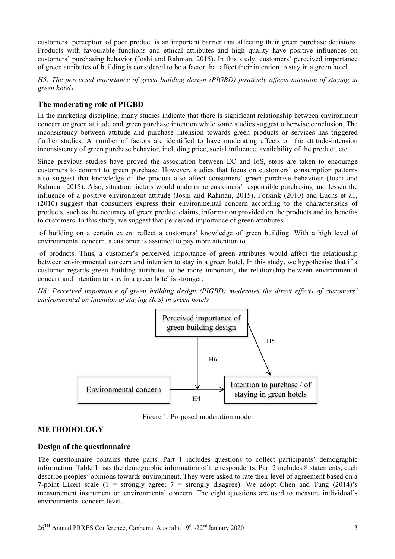customers' perception of poor product is an important barrier that affecting their green purchase decisions. Products with favourable functions and ethical attributes and high quality have positive influences on customers' purchasing behavior (Joshi and Rahman, 2015). In this study, customers' perceived importance of green attributes of building is considered to be a factor that affect their intention to stay in a green hotel.

*H5: The perceived importance of green building design (PIGBD) positively affects intention of staying in green hotels*

### **The moderating role of PIGBD**

In the marketing discipline, many studies indicate that there is significant relationship between environment concern or green attitude and green purchase intention while some studies suggest otherwise conclusion. The inconsistency between attitude and purchase intension towards green products or services has triggered further studies. A number of factors are identified to have moderating effects on the attitude-intension inconsistency of green purchase behavior, including price, social influence, availability of the product, etc.

Since previous studies have proved the association between EC and IoS, steps are taken to encourage customers to commit to green purchase. However, studies that focus on customers' consumption patterns also suggest that knowledge of the product also affect consumers' green purchase behaviour (Joshi and Rahman, 2015). Also, situation factors would undermine customers' responsible purchasing and lessen the influence of a positive environment attitude (Joshi and Rahman, 2015). Forkink (2010) and Luchs et al., (2010) suggest that consumers express their environmental concern according to the characteristics of products, such as the accuracy of green product claims, information provided on the products and its benefits to customers. In this study, we suggest that perceived importance of green attributes

of building on a certain extent reflect a customers' knowledge of green building. With a high level of environmental concern, a customer is assumed to pay more attention to

of products. Thus, a customer's perceived importance of green attributes would affect the relationship between environmental concern and intention to stay in a green hotel. In this study, we hypothesise that if a customer regards green building attributes to be more important, the relationship between environmental concern and intention to stay in a green hotel is stronger.

*H6: Perceived importance of green building design (PIGBD) moderates the direct effects of customers' environmental on intention of staying (IoS) in green hotels* 



Figure 1. Proposed moderation model

# **METHODOLOGY**

#### **Design of the questionnaire**

The questionnaire contains three parts. Part 1 includes questions to collect participants' demographic information. Table 1 lists the demographic information of the respondents. Part 2 includes 8 statements, each describe peoples' opinions towards environment. They were asked to rate their level of agreement based on a 7-point Likert scale  $(1 =$  strongly agree;  $7 =$  strongly disagree). We adopt Chen and Tung  $(2014)$ 's measurement instrument on environmental concern. The eight questions are used to measure individual's environmental concern level.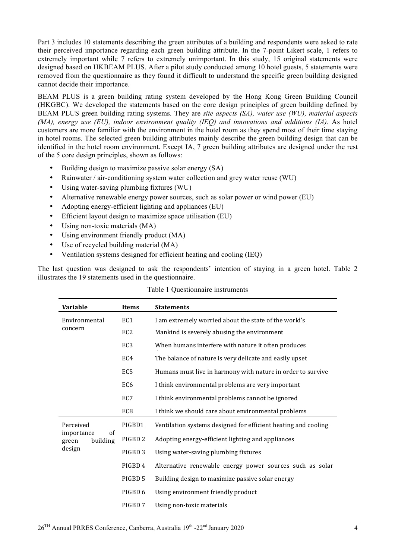Part 3 includes 10 statements describing the green attributes of a building and respondents were asked to rate their perceived importance regarding each green building attribute. In the 7-point Likert scale, 1 refers to extremely important while 7 refers to extremely unimportant. In this study, 15 original statements were designed based on HKBEAM PLUS. After a pilot study conducted among 10 hotel guests, 5 statements were removed from the questionnaire as they found it difficult to understand the specific green building designed cannot decide their importance.

BEAM PLUS is a green building rating system developed by the Hong Kong Green Building Council (HKGBC). We developed the statements based on the core design principles of green building defined by BEAM PLUS green building rating systems. They are *site aspects (SA), water use (WU), material aspects (MA), energy use (EU), indoor environment quality (IEQ) and innovations and additions (IA)*. As hotel customers are more familiar with the environment in the hotel room as they spend most of their time staying in hotel rooms. The selected green building attributes mainly describe the green building design that can be identified in the hotel room environment. Except IA, 7 green building attributes are designed under the rest of the 5 core design principles, shown as follows:

- Building design to maximize passive solar energy (SA)
- Rainwater / air-conditioning system water collection and grey water reuse (WU)
- Using water-saving plumbing fixtures (WU)
- Alternative renewable energy power sources, such as solar power or wind power (EU)
- Adopting energy-efficient lighting and appliances (EU)
- Efficient layout design to maximize space utilisation (EU)
- Using non-toxic materials (MA)
- Using environment friendly product (MA)
- Use of recycled building material (MA)
- Ventilation systems designed for efficient heating and cooling (IEO)

The last question was designed to ask the respondents' intention of staying in a green hotel. Table 2 illustrates the 19 statements used in the questionnaire.

| Variable                                                             | Items              | <b>Statements</b>                                              |  |  |  |
|----------------------------------------------------------------------|--------------------|----------------------------------------------------------------|--|--|--|
| Environmental                                                        | EC1                | I am extremely worried about the state of the world's          |  |  |  |
| concern                                                              | EC <sub>2</sub>    | Mankind is severely abusing the environment                    |  |  |  |
|                                                                      | EC <sub>3</sub>    | When humans interfere with nature it often produces            |  |  |  |
|                                                                      | EC4                | The balance of nature is very delicate and easily upset        |  |  |  |
|                                                                      | EC <sub>5</sub>    | Humans must live in harmony with nature in order to survive    |  |  |  |
|                                                                      | EC <sub>6</sub>    | I think environmental problems are very important              |  |  |  |
|                                                                      | EC7                | I think environmental problems cannot be ignored               |  |  |  |
|                                                                      | EC <sub>8</sub>    | I think we should care about environmental problems            |  |  |  |
| Perceived<br>$\sigma$ f<br>importance<br>building<br>green<br>design | PIGBD1             | Ventilation systems designed for efficient heating and cooling |  |  |  |
|                                                                      | PIGBD <sub>2</sub> | Adopting energy-efficient lighting and appliances              |  |  |  |
|                                                                      | PIGBD <sub>3</sub> | Using water-saving plumbing fixtures                           |  |  |  |
|                                                                      | PIGBD <sub>4</sub> | Alternative renewable energy power sources such as solar       |  |  |  |
|                                                                      | PIGBD 5            | Building design to maximize passive solar energy               |  |  |  |
|                                                                      | PIGBD 6            | Using environment friendly product                             |  |  |  |
|                                                                      | PIGBD 7            | Using non-toxic materials                                      |  |  |  |

Table 1 Questionnaire instruments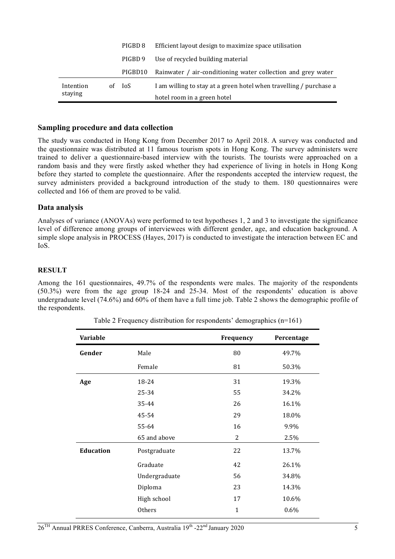|           | PIGBD 8 | Efficient layout design to maximize space utilisation                |
|-----------|---------|----------------------------------------------------------------------|
|           | PIGBD 9 | Use of recycled building material                                    |
|           |         | PIGBD10 Rainwater / air-conditioning water collection and grey water |
| Intention | of IoS  | I am willing to stay at a green hotel when travelling / purchase a   |
| staying   |         | hotel room in a green hotel                                          |

#### **Sampling procedure and data collection**

The study was conducted in Hong Kong from December 2017 to April 2018. A survey was conducted and the questionnaire was distributed at 11 famous tourism spots in Hong Kong. The survey administers were trained to deliver a questionnaire-based interview with the tourists. The tourists were approached on a random basis and they were firstly asked whether they had experience of living in hotels in Hong Kong before they started to complete the questionnaire. After the respondents accepted the interview request, the survey administers provided a background introduction of the study to them. 180 questionnaires were collected and 166 of them are proved to be valid.

#### **Data analysis**

Analyses of variance (ANOVAs) were performed to test hypotheses 1, 2 and 3 to investigate the significance level of difference among groups of interviewees with different gender, age, and education background. A simple slope analysis in PROCESS (Hayes, 2017) is conducted to investigate the interaction between EC and IoS.

#### **RESULT**

Among the 161 questionnaires, 49.7% of the respondents were males. The majority of the respondents (50.3%) were from the age group 18-24 and 25-34. Most of the respondents' education is above undergraduate level (74.6%) and 60% of them have a full time job. Table 2 shows the demographic profile of the respondents.

| Variable         |               | Frequency    | Percentage |  |
|------------------|---------------|--------------|------------|--|
| Gender           | Male          | 80           | 49.7%      |  |
|                  | Female        | 81           | 50.3%      |  |
| Age              | 18-24         | 31           | 19.3%      |  |
|                  | 25-34         | 55           | 34.2%      |  |
|                  | 35-44         | 26           | 16.1%      |  |
|                  | 45-54         | 29           | 18.0%      |  |
|                  | 55-64         | 16           | 9.9%       |  |
|                  | 65 and above  | 2            | 2.5%       |  |
| <b>Education</b> | Postgraduate  | 22           | 13.7%      |  |
|                  | Graduate      | 42           | 26.1%      |  |
|                  | Undergraduate | 56           | 34.8%      |  |
|                  | Diploma       | 23           | 14.3%      |  |
|                  | High school   | 17           | 10.6%      |  |
|                  | Others        | $\mathbf{1}$ | 0.6%       |  |
|                  |               |              |            |  |

| Table 2 Frequency distribution for respondents' demographics (n=161) |  |  |
|----------------------------------------------------------------------|--|--|
|                                                                      |  |  |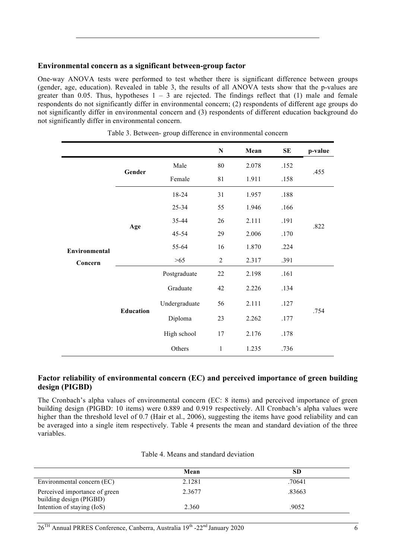### **Environmental concern as a significant between-group factor**

One-way ANOVA tests were performed to test whether there is significant difference between groups (gender, age, education). Revealed in table 3, the results of all ANOVA tests show that the p-values are greater than 0.05. Thus, hypotheses  $1 - 3$  are rejected. The findings reflect that (1) male and female respondents do not significantly differ in environmental concern; (2) respondents of different age groups do not significantly differ in environmental concern and (3) respondents of different education background do not significantly differ in environmental concern.

|                          |                  |               | ${\bf N}$    | Mean  | SE   | p-value |
|--------------------------|------------------|---------------|--------------|-------|------|---------|
| Environmental<br>Concern | Gender           | Male          | 80           | 2.078 | .152 | .455    |
|                          |                  | Female        | 81           | 1.911 | .158 |         |
|                          |                  | 18-24         | 31           | 1.957 | .188 |         |
|                          |                  | 25-34         | 55           | 1.946 | .166 |         |
|                          | Age              | 35-44         | 26           | 2.111 | .191 | .822    |
|                          |                  | 45-54         | 29           | 2.006 | .170 |         |
|                          |                  | 55-64         | 16           | 1.870 | .224 |         |
|                          |                  | >65           | 2            | 2.317 | .391 |         |
|                          |                  | Postgraduate  | 22           | 2.198 | .161 |         |
|                          |                  | Graduate      | 42           | 2.226 | .134 |         |
|                          |                  | Undergraduate | 56           | 2.111 | .127 |         |
|                          | <b>Education</b> | Diploma       | 23           | 2.262 | .177 | .754    |
|                          |                  | High school   | 17           | 2.176 | .178 |         |
|                          |                  | Others        | $\mathbf{1}$ | 1.235 | .736 |         |

Table 3. Between- group difference in environmental concern

#### **Factor reliability of environmental concern (EC) and perceived importance of green building design (PIGBD)**

The Cronbach's alpha values of environmental concern (EC: 8 items) and perceived importance of green building design (PIGBD: 10 items) were 0.889 and 0.919 respectively. All Cronbach's alpha values were higher than the threshold level of 0.7 (Hair et al., 2006), suggesting the items have good reliability and can be averaged into a single item respectively. Table 4 presents the mean and standard deviation of the three variables.

|                                                          | Mean   | SD     |
|----------------------------------------------------------|--------|--------|
| Environmental concern (EC)                               | 2.1281 | .70641 |
| Perceived importance of green<br>building design (PIGBD) | 2.3677 | .83663 |
| Intention of staying (IoS)                               | 2.360  | .9052  |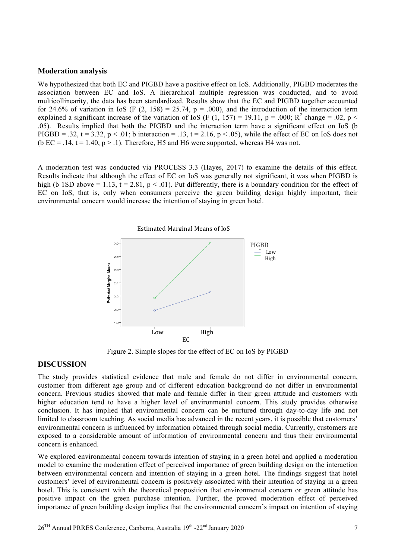#### **Moderation analysis**

We hypothesized that both EC and PIGBD have a positive effect on IoS. Additionally, PIGBD moderates the association between EC and IoS. A hierarchical multiple regression was conducted, and to avoid multicollinearity, the data has been standardized. Results show that the EC and PIGBD together accounted for 24.6% of variation in IoS (F  $(2, 158) = 25.74$ , p = .000), and the introduction of the interaction term explained a significant increase of the variation of IoS (F (1, 157) = 19.11, p = .000; R<sup>2</sup> change = .02, p < .05). Results implied that both the PIGBD and the interaction term have a significant effect on IoS (b PIGBD = .32,  $t = 3.32$ ,  $p < .01$ ; b interaction = .13,  $t = 2.16$ ,  $p < .05$ ), while the effect of EC on IoS does not (b EC = .14, t = 1.40, p > .1). Therefore, H5 and H6 were supported, whereas H4 was not.

A moderation test was conducted via PROCESS 3.3 (Hayes, 2017) to examine the details of this effect. Results indicate that although the effect of EC on IoS was generally not significant, it was when PIGBD is high (b 1SD above = 1.13,  $t = 2.81$ ,  $p < .01$ ). Put differently, there is a boundary condition for the effect of EC on IoS, that is, only when consumers perceive the green building design highly important, their environmental concern would increase the intention of staying in green hotel.



Figure 2. Simple slopes for the effect of EC on IoS by PIGBD

#### **DISCUSSION**

The study provides statistical evidence that male and female do not differ in environmental concern, customer from different age group and of different education background do not differ in environmental concern. Previous studies showed that male and female differ in their green attitude and customers with higher education tend to have a higher level of environmental concern. This study provides otherwise conclusion. It has implied that environmental concern can be nurtured through day-to-day life and not limited to classroom teaching. As social media has advanced in the recent years, it is possible that customers' environmental concern is influenced by information obtained through social media. Currently, customers are exposed to a considerable amount of information of environmental concern and thus their environmental concern is enhanced.

We explored environmental concern towards intention of staying in a green hotel and applied a moderation model to examine the moderation effect of perceived importance of green building design on the interaction between environmental concern and intention of staying in a green hotel. The findings suggest that hotel customers' level of environmental concern is positively associated with their intention of staying in a green hotel. This is consistent with the theoretical proposition that environmental concern or green attitude has positive impact on the green purchase intention. Further, the proved moderation effect of perceived importance of green building design implies that the environmental concern's impact on intention of staying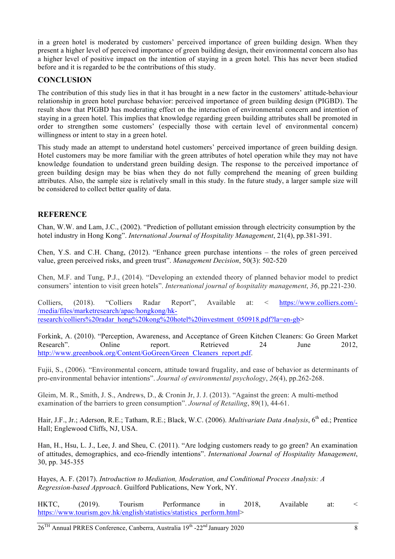in a green hotel is moderated by customers' perceived importance of green building design. When they present a higher level of perceived importance of green building design, their environmental concern also has a higher level of positive impact on the intention of staying in a green hotel. This has never been studied before and it is regarded to be the contributions of this study.

## **CONCLUSION**

The contribution of this study lies in that it has brought in a new factor in the customers' attitude-behaviour relationship in green hotel purchase behavior: perceived importance of green building design (PIGBD). The result show that PIGBD has moderating effect on the interaction of environmental concern and intention of staying in a green hotel. This implies that knowledge regarding green building attributes shall be promoted in order to strengthen some customers' (especially those with certain level of environmental concern) willingness or intent to stay in a green hotel.

This study made an attempt to understand hotel customers' perceived importance of green building design. Hotel customers may be more familiar with the green attributes of hotel operation while they may not have knowledge foundation to understand green building design. The response to the perceived importance of green building design may be bias when they do not fully comprehend the meaning of green building attributes. Also, the sample size is relatively small in this study. In the future study, a larger sample size will be considered to collect better quality of data.

## **REFERENCE**

Chan, W.W. and Lam, J.C., (2002). "Prediction of pollutant emission through electricity consumption by the hotel industry in Hong Kong". *International Journal of Hospitality Management*, 21(4), pp.381-391.

Chen, Y.S. and C.H. Chang, (2012). "Enhance green purchase intentions – the roles of green perceived value, green perceived risks, and green trust". *Management Decision*, 50(3): 502-520

Chen, M.F. and Tung, P.J., (2014). "Developing an extended theory of planned behavior model to predict consumers' intention to visit green hotels". *International journal of hospitality management*, *36*, pp.221-230.

Colliers, (2018). "Colliers Radar Report", Available at: < https://www.colliers.com/- /media/files/marketresearch/apac/hongkong/hkresearch/colliers%20radar\_hong%20kong%20hotel%20investment\_050918.pdf?la=en-gb>

Forkink, A. (2010). "Perception, Awareness, and Acceptance of Green Kitchen Cleaners: Go Green Market Research". Online report. Retrieved 24 June 2012, http://www.greenbook.org/Content/GoGreen/Green\_Cleaners\_report.pdf.

Fujii, S., (2006). "Environmental concern, attitude toward frugality, and ease of behavior as determinants of pro-environmental behavior intentions". *Journal of environmental psychology*, *26*(4), pp.262-268.

Gleim, M. R., Smith, J. S., Andrews, D., & Cronin Jr, J. J. (2013). "Against the green: A multi-method examination of the barriers to green consumption". *Journal of Retailing*, 89(1), 44-61.

Hair, J.F., Jr.; Aderson, R.E.; Tatham, R.E.; Black, W.C. (2006). *Multivariate Data Analysis*, 6<sup>th</sup> ed.; Prentice Hall; Englewood Cliffs, NJ, USA.

Han, H., Hsu, L. J., Lee, J. and Sheu, C. (2011). "Are lodging customers ready to go green? An examination of attitudes, demographics, and eco-friendly intentions". *International Journal of Hospitality Management*, 30, pp. 345-355

Hayes, A. F. (2017). *Introduction to Mediation, Moderation, and Conditional Process Analysis: A Regression-based Approach*. Guilford Publications, New York, NY.

HKTC, (2019). Tourism Performance in 2018, Available at: < https://www.tourism.gov.hk/english/statistics/statistics\_perform.html>

 $26<sup>TH</sup>$  Annual PRRES Conference, Canberra, Australia  $19<sup>th</sup>$  -22<sup>nd</sup> January 2020 8